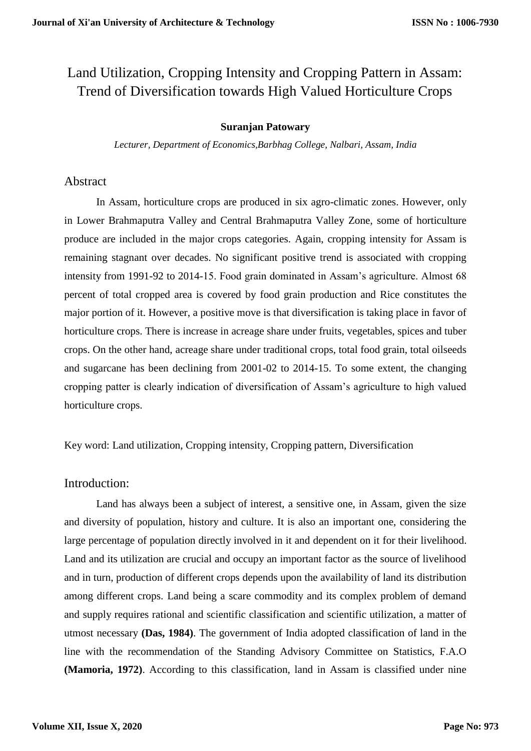# Land Utilization, Cropping Intensity and Cropping Pattern in Assam: Trend of Diversification towards High Valued Horticulture Crops

#### **Suranjan Patowary**

*Lecturer, Department of Economics,Barbhag College, Nalbari, Assam, India*

#### Abstract

In Assam, horticulture crops are produced in six agro-climatic zones. However, only in Lower Brahmaputra Valley and Central Brahmaputra Valley Zone, some of horticulture produce are included in the major crops categories. Again, cropping intensity for Assam is remaining stagnant over decades. No significant positive trend is associated with cropping intensity from 1991-92 to 2014-15. Food grain dominated in Assam's agriculture. Almost 68 percent of total cropped area is covered by food grain production and Rice constitutes the major portion of it. However, a positive move is that diversification is taking place in favor of horticulture crops. There is increase in acreage share under fruits, vegetables, spices and tuber crops. On the other hand, acreage share under traditional crops, total food grain, total oilseeds and sugarcane has been declining from 2001-02 to 2014-15. To some extent, the changing cropping patter is clearly indication of diversification of Assam's agriculture to high valued horticulture crops.

Key word: Land utilization, Cropping intensity, Cropping pattern, Diversification

## Introduction:

Land has always been a subject of interest, a sensitive one, in Assam, given the size and diversity of population, history and culture. It is also an important one, considering the large percentage of population directly involved in it and dependent on it for their livelihood. Land and its utilization are crucial and occupy an important factor as the source of livelihood and in turn, production of different crops depends upon the availability of land its distribution among different crops. Land being a scare commodity and its complex problem of demand and supply requires rational and scientific classification and scientific utilization, a matter of utmost necessary **(Das, 1984)**. The government of India adopted classification of land in the line with the recommendation of the Standing Advisory Committee on Statistics, F.A.O **(Mamoria, 1972)**. According to this classification, land in Assam is classified under nine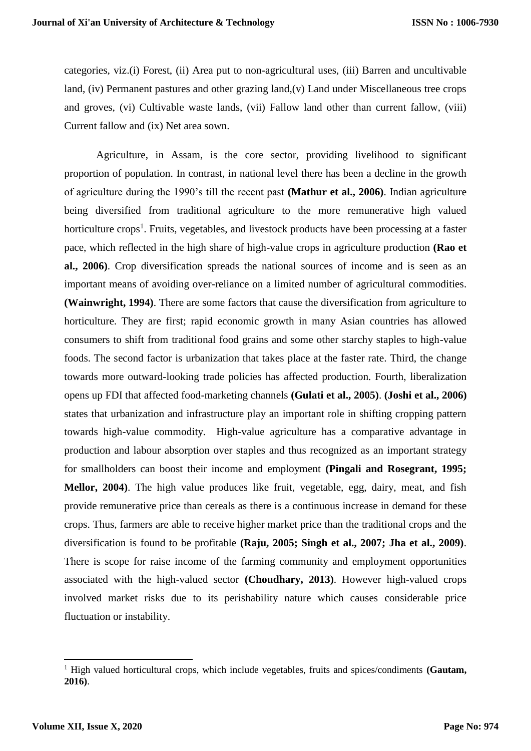categories, viz.(i) Forest, (ii) Area put to non-agricultural uses, (iii) Barren and uncultivable land, (iv) Permanent pastures and other grazing land,(v) Land under Miscellaneous tree crops and groves, (vi) Cultivable waste lands, (vii) Fallow land other than current fallow, (viii) Current fallow and (ix) Net area sown.

Agriculture, in Assam, is the core sector, providing livelihood to significant proportion of population. In contrast, in national level there has been a decline in the growth of agriculture during the 1990's till the recent past **(Mathur et al., 2006)**. Indian agriculture being diversified from traditional agriculture to the more remunerative high valued horticulture crops<sup>1</sup>. Fruits, vegetables, and livestock products have been processing at a faster pace, which reflected in the high share of high-value crops in agriculture production **(Rao et al., 2006)**. Crop diversification spreads the national sources of income and is seen as an important means of avoiding over-reliance on a limited number of agricultural commodities. **(Wainwright, 1994)**. There are some factors that cause the diversification from agriculture to horticulture. They are first; rapid economic growth in many Asian countries has allowed consumers to shift from traditional food grains and some other starchy staples to high-value foods. The second factor is urbanization that takes place at the faster rate. Third, the change towards more outward-looking trade policies has affected production. Fourth, liberalization opens up FDI that affected food-marketing channels **(Gulati et al., 2005)**. **(Joshi et al., 2006)** states that urbanization and infrastructure play an important role in shifting cropping pattern towards high-value commodity. High-value agriculture has a comparative advantage in production and labour absorption over staples and thus recognized as an important strategy for smallholders can boost their income and employment **(Pingali and Rosegrant, 1995; Mellor, 2004)**. The high value produces like fruit, vegetable, egg, dairy, meat, and fish provide remunerative price than cereals as there is a continuous increase in demand for these crops. Thus, farmers are able to receive higher market price than the traditional crops and the diversification is found to be profitable **(Raju, 2005; Singh et al., 2007; Jha et al., 2009)**. There is scope for raise income of the farming community and employment opportunities associated with the high-valued sector **(Choudhary, 2013)**. However high-valued crops involved market risks due to its perishability nature which causes considerable price fluctuation or instability.

**.** 

<sup>1</sup> High valued horticultural crops, which include vegetables, fruits and spices/condiments **(Gautam, 2016)**.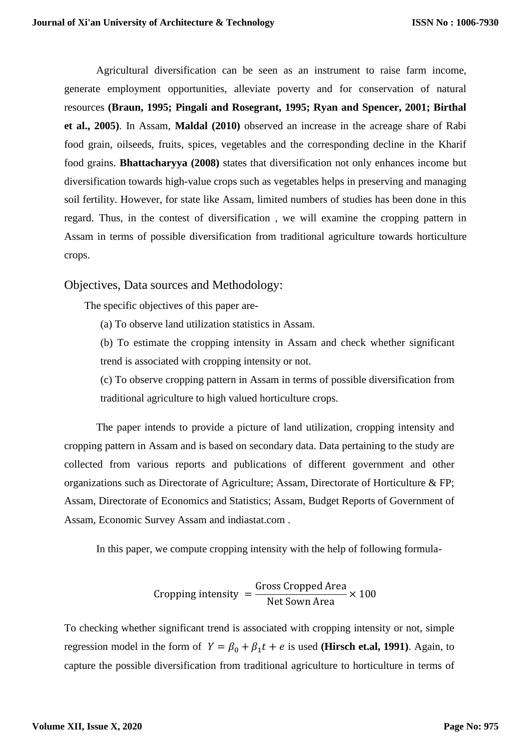Agricultural diversification can be seen as an instrument to raise farm income, generate employment opportunities, alleviate poverty and for conservation of natural resources **(Braun, 1995; Pingali and Rosegrant, 1995; Ryan and Spencer, 2001; Birthal et al., 2005)**. In Assam, **Maldal (2010)** observed an increase in the acreage share of Rabi food grain, oilseeds, fruits, spices, vegetables and the corresponding decline in the Kharif food grains. **Bhattacharyya (2008)** states that diversification not only enhances income but diversification towards high-value crops such as vegetables helps in preserving and managing soil fertility. However, for state like Assam, limited numbers of studies has been done in this regard. Thus, in the contest of diversification , we will examine the cropping pattern in Assam in terms of possible diversification from traditional agriculture towards horticulture crops.

Objectives, Data sources and Methodology:

The specific objectives of this paper are-

(a) To observe land utilization statistics in Assam.

(b) To estimate the cropping intensity in Assam and check whether significant trend is associated with cropping intensity or not.

(c) To observe cropping pattern in Assam in terms of possible diversification from traditional agriculture to high valued horticulture crops.

The paper intends to provide a picture of land utilization, cropping intensity and cropping pattern in Assam and is based on secondary data. Data pertaining to the study are collected from various reports and publications of different government and other organizations such as Directorate of Agriculture; Assam, Directorate of Horticulture & FP; Assam, Directorate of Economics and Statistics; Assam, Budget Reports of Government of Assam, Economic Survey Assam and indiastat.com .

In this paper, we compute cropping intensity with the help of following formula-

Cropping intensity 
$$
=
$$
  $\frac{\text{Gross Cropped Area}}{\text{Net Sown Area}} \times 100$ 

To checking whether significant trend is associated with cropping intensity or not, simple regression model in the form of  $Y = \beta_0 + \beta_1 t + e$  is used (**Hirsch et.al, 1991**). Again, to capture the possible diversification from traditional agriculture to horticulture in terms of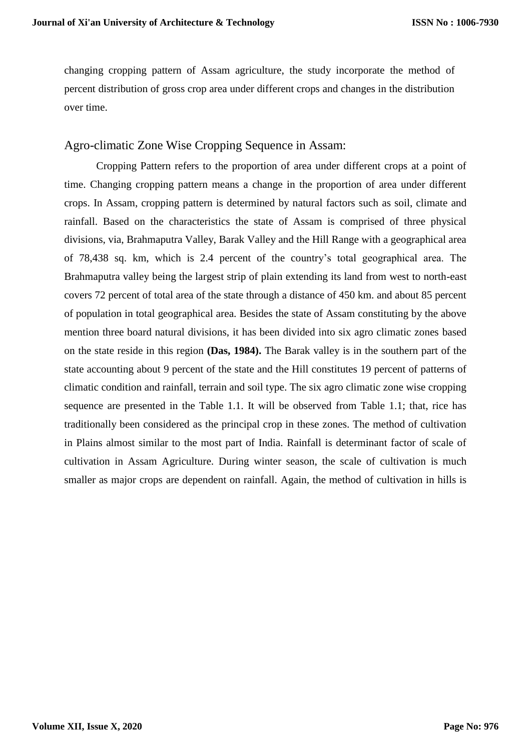changing cropping pattern of Assam agriculture, the study incorporate the method of percent distribution of gross crop area under different crops and changes in the distribution over time.

### Agro-climatic Zone Wise Cropping Sequence in Assam:

Cropping Pattern refers to the proportion of area under different crops at a point of time. Changing cropping pattern means a change in the proportion of area under different crops. In Assam, cropping pattern is determined by natural factors such as soil, climate and rainfall. Based on the characteristics the state of Assam is comprised of three physical divisions, via, Brahmaputra Valley, Barak Valley and the Hill Range with a geographical area of 78,438 sq. km, which is 2.4 percent of the country's total geographical area. The Brahmaputra valley being the largest strip of plain extending its land from west to north-east covers 72 percent of total area of the state through a distance of 450 km. and about 85 percent of population in total geographical area. Besides the state of Assam constituting by the above mention three board natural divisions, it has been divided into six agro climatic zones based on the state reside in this region **(Das, 1984).** The Barak valley is in the southern part of the state accounting about 9 percent of the state and the Hill constitutes 19 percent of patterns of climatic condition and rainfall, terrain and soil type. The six agro climatic zone wise cropping sequence are presented in the Table 1.1. It will be observed from Table 1.1; that, rice has traditionally been considered as the principal crop in these zones. The method of cultivation in Plains almost similar to the most part of India. Rainfall is determinant factor of scale of cultivation in Assam Agriculture. During winter season, the scale of cultivation is much smaller as major crops are dependent on rainfall. Again, the method of cultivation in hills is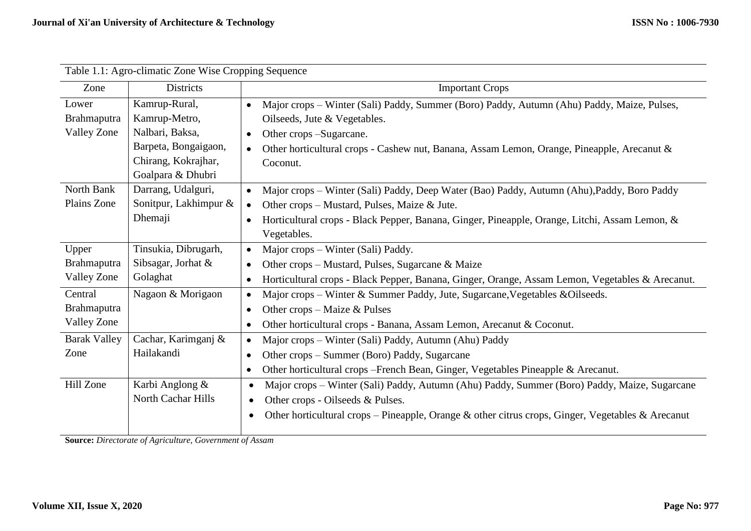| Table 1.1: Agro-climatic Zone Wise Cropping Sequence |                       |                                                                                                                |  |  |  |  |  |  |  |
|------------------------------------------------------|-----------------------|----------------------------------------------------------------------------------------------------------------|--|--|--|--|--|--|--|
| Zone                                                 | <b>Districts</b>      | <b>Important Crops</b>                                                                                         |  |  |  |  |  |  |  |
| Lower                                                | Kamrup-Rural,         | Major crops - Winter (Sali) Paddy, Summer (Boro) Paddy, Autumn (Ahu) Paddy, Maize, Pulses,<br>$\bullet$        |  |  |  |  |  |  |  |
| Brahmaputra                                          | Kamrup-Metro,         | Oilseeds, Jute & Vegetables.                                                                                   |  |  |  |  |  |  |  |
| <b>Valley Zone</b>                                   | Nalbari, Baksa,       | Other crops -Sugarcane.<br>$\bullet$                                                                           |  |  |  |  |  |  |  |
|                                                      | Barpeta, Bongaigaon,  | Other horticultural crops - Cashew nut, Banana, Assam Lemon, Orange, Pineapple, Arecanut &<br>$\bullet$        |  |  |  |  |  |  |  |
|                                                      | Chirang, Kokrajhar,   | Coconut.                                                                                                       |  |  |  |  |  |  |  |
|                                                      | Goalpara & Dhubri     |                                                                                                                |  |  |  |  |  |  |  |
| North Bank                                           | Darrang, Udalguri,    | Major crops – Winter (Sali) Paddy, Deep Water (Bao) Paddy, Autumn (Ahu), Paddy, Boro Paddy<br>$\bullet$        |  |  |  |  |  |  |  |
| Plains Zone                                          | Sonitpur, Lakhimpur & | Other crops – Mustard, Pulses, Maize & Jute.<br>$\bullet$                                                      |  |  |  |  |  |  |  |
|                                                      | Dhemaji               | Horticultural crops - Black Pepper, Banana, Ginger, Pineapple, Orange, Litchi, Assam Lemon, &<br>$\bullet$     |  |  |  |  |  |  |  |
|                                                      |                       | Vegetables.                                                                                                    |  |  |  |  |  |  |  |
| Upper                                                | Tinsukia, Dibrugarh,  | Major crops – Winter (Sali) Paddy.<br>$\bullet$                                                                |  |  |  |  |  |  |  |
| Brahmaputra                                          | Sibsagar, Jorhat &    | Other crops – Mustard, Pulses, Sugarcane & Maize<br>$\bullet$                                                  |  |  |  |  |  |  |  |
| Valley Zone                                          | Golaghat              | Horticultural crops - Black Pepper, Banana, Ginger, Orange, Assam Lemon, Vegetables & Arecanut.<br>$\bullet$   |  |  |  |  |  |  |  |
| Central                                              | Nagaon & Morigaon     | Major crops - Winter & Summer Paddy, Jute, Sugarcane, Vegetables & Oilseeds.<br>$\bullet$                      |  |  |  |  |  |  |  |
| <b>Brahmaputra</b>                                   |                       | Other crops – Maize & Pulses<br>$\bullet$                                                                      |  |  |  |  |  |  |  |
| <b>Valley Zone</b>                                   |                       | Other horticultural crops - Banana, Assam Lemon, Arecanut & Coconut.<br>$\bullet$                              |  |  |  |  |  |  |  |
| <b>Barak Valley</b>                                  | Cachar, Karimganj &   | Major crops – Winter (Sali) Paddy, Autumn (Ahu) Paddy<br>$\bullet$                                             |  |  |  |  |  |  |  |
| Zone                                                 | Hailakandi            | Other crops – Summer (Boro) Paddy, Sugarcane<br>$\bullet$                                                      |  |  |  |  |  |  |  |
|                                                      |                       | Other horticultural crops – French Bean, Ginger, Vegetables Pineapple & Arecanut.<br>$\bullet$                 |  |  |  |  |  |  |  |
| Hill Zone                                            | Karbi Anglong &       | Major crops – Winter (Sali) Paddy, Autumn (Ahu) Paddy, Summer (Boro) Paddy, Maize, Sugarcane<br>$\bullet$      |  |  |  |  |  |  |  |
|                                                      | North Cachar Hills    | Other crops - Oilseeds & Pulses.<br>$\bullet$                                                                  |  |  |  |  |  |  |  |
|                                                      |                       | Other horticultural crops – Pineapple, Orange & other citrus crops, Ginger, Vegetables & Arecanut<br>$\bullet$ |  |  |  |  |  |  |  |
|                                                      |                       |                                                                                                                |  |  |  |  |  |  |  |

**Source:** *Directorate of Agriculture, Government of Assam*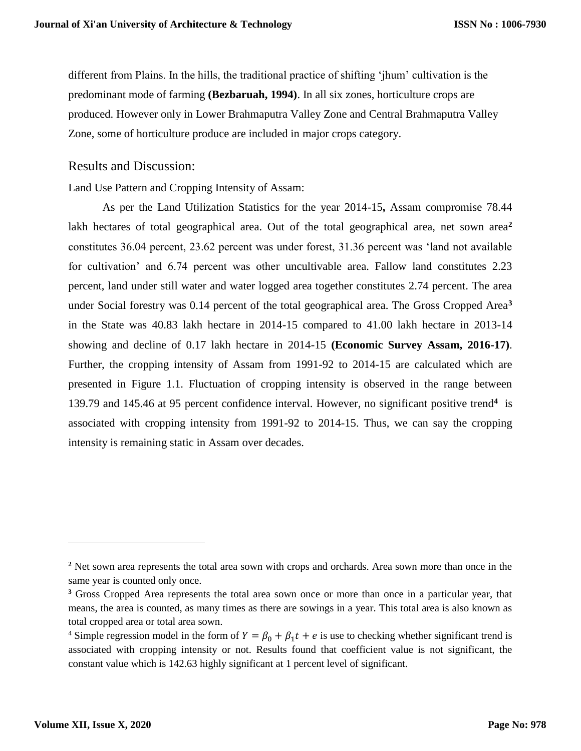different from Plains. In the hills, the traditional practice of shifting 'jhum' cultivation is the predominant mode of farming **(Bezbaruah, 1994)**. In all six zones, horticulture crops are produced. However only in Lower Brahmaputra Valley Zone and Central Brahmaputra Valley Zone, some of horticulture produce are included in major crops category.

Results and Discussion:

Land Use Pattern and Cropping Intensity of Assam:

As per the Land Utilization Statistics for the year 2014-15**,** Assam compromise 78.44 lakh hectares of total geographical area. Out of the total geographical area, net sown area<sup>2</sup> constitutes 36.04 percent, 23.62 percent was under forest, 31.36 percent was 'land not available for cultivation' and 6.74 percent was other uncultivable area. Fallow land constitutes 2.23 percent, land under still water and water logged area together constitutes 2.74 percent. The area under Social forestry was 0.14 percent of the total geographical area. The Gross Cropped Area**<sup>3</sup>** in the State was 40.83 lakh hectare in 2014-15 compared to 41.00 lakh hectare in 2013-14 showing and decline of 0.17 lakh hectare in 2014-15 **(Economic Survey Assam, 2016-17)**. Further, the cropping intensity of Assam from 1991-92 to 2014-15 are calculated which are presented in Figure 1.1. Fluctuation of cropping intensity is observed in the range between 139.79 and 145.46 at 95 percent confidence interval. However, no significant positive trend**<sup>4</sup>** is associated with cropping intensity from 1991-92 to 2014-15. Thus, we can say the cropping intensity is remaining static in Assam over decades.

l

**<sup>2</sup>** Net sown area represents the total area sown with crops and orchards. Area sown more than once in the same year is counted only once.

**<sup>3</sup>** Gross Cropped Area represents the total area sown once or more than once in a particular year, that means, the area is counted, as many times as there are sowings in a year. This total area is also known as total cropped area or total area sown.

<sup>&</sup>lt;sup>4</sup> Simple regression model in the form of  $Y = \beta_0 + \beta_1 t + e$  is use to checking whether significant trend is associated with cropping intensity or not. Results found that coefficient value is not significant, the constant value which is 142.63 highly significant at 1 percent level of significant.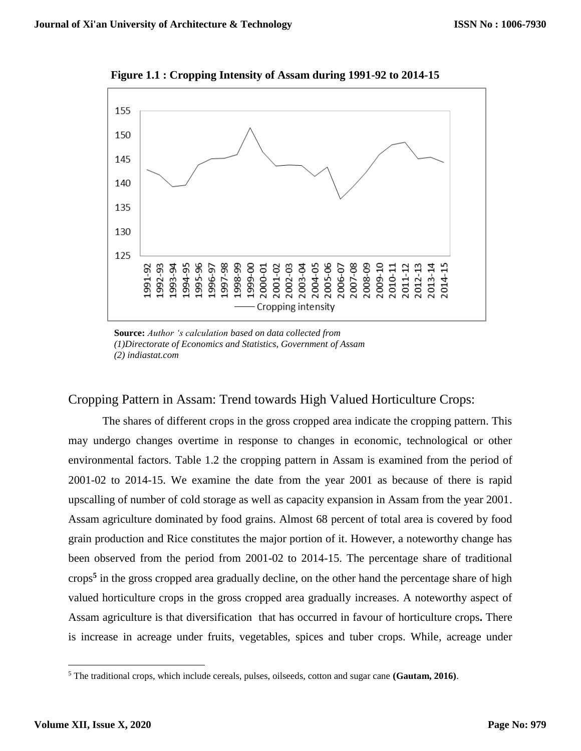

**Figure 1.1 : Cropping Intensity of Assam during 1991-92 to 2014-15**

**Source:** *Author 's calculation based on data collected from (1)Directorate of Economics and Statistics, Government of Assam (2) indiastat.com*

### Cropping Pattern in Assam: Trend towards High Valued Horticulture Crops:

The shares of different crops in the gross cropped area indicate the cropping pattern. This may undergo changes overtime in response to changes in economic, technological or other environmental factors. Table 1.2 the cropping pattern in Assam is examined from the period of 2001-02 to 2014-15. We examine the date from the year 2001 as because of there is rapid upscalling of number of cold storage as well as capacity expansion in Assam from the year 2001. Assam agriculture dominated by food grains. Almost 68 percent of total area is covered by food grain production and Rice constitutes the major portion of it. However, a noteworthy change has been observed from the period from 2001-02 to 2014-15. The percentage share of traditional crops**<sup>5</sup>** in the gross cropped area gradually decline, on the other hand the percentage share of high valued horticulture crops in the gross cropped area gradually increases. A noteworthy aspect of Assam agriculture is that diversification that has occurred in favour of horticulture crops**.** There is increase in acreage under fruits, vegetables, spices and tuber crops. While, acreage under

 $\overline{a}$ 

<sup>5</sup> The traditional crops, which include cereals, pulses, oilseeds, cotton and sugar cane **(Gautam, 2016)**.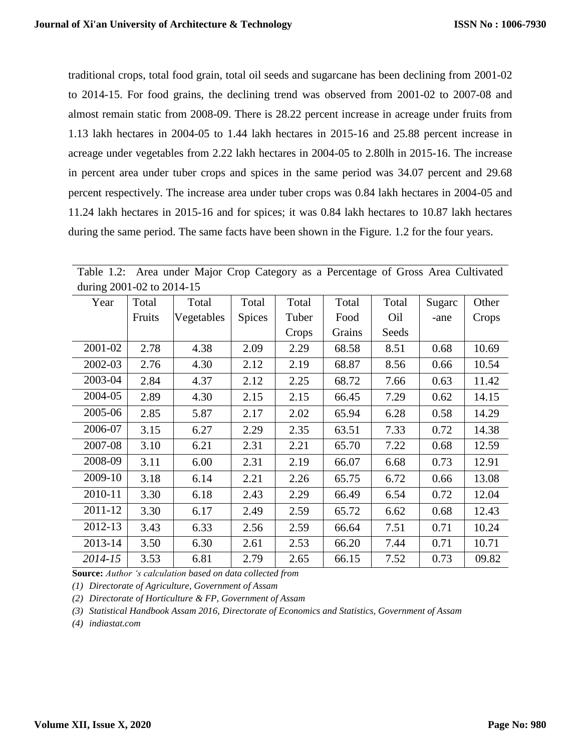traditional crops, total food grain, total oil seeds and sugarcane has been declining from 2001-02 to 2014-15. For food grains, the declining trend was observed from 2001-02 to 2007-08 and almost remain static from 2008-09. There is 28.22 percent increase in acreage under fruits from 1.13 lakh hectares in 2004-05 to 1.44 lakh hectares in 2015-16 and 25.88 percent increase in acreage under vegetables from 2.22 lakh hectares in 2004-05 to 2.80lh in 2015-16. The increase in percent area under tuber crops and spices in the same period was 34.07 percent and 29.68 percent respectively. The increase area under tuber crops was 0.84 lakh hectares in 2004-05 and 11.24 lakh hectares in 2015-16 and for spices; it was 0.84 lakh hectares to 10.87 lakh hectares during the same period. The same facts have been shown in the Figure. 1.2 for the four years.

| Year    | Total  | Total      | Total         | Total | Total  | Total | Sugarc | Other |  |  |
|---------|--------|------------|---------------|-------|--------|-------|--------|-------|--|--|
|         | Fruits | Vegetables | <b>Spices</b> | Tuber | Food   | Oil   | -ane   | Crops |  |  |
|         |        |            |               | Crops | Grains | Seeds |        |       |  |  |
| 2001-02 | 2.78   | 4.38       | 2.09          | 2.29  | 68.58  | 8.51  | 0.68   | 10.69 |  |  |
| 2002-03 | 2.76   | 4.30       | 2.12          | 2.19  | 68.87  | 8.56  | 0.66   | 10.54 |  |  |
| 2003-04 | 2.84   | 4.37       | 2.12          | 2.25  | 68.72  | 7.66  | 0.63   | 11.42 |  |  |
| 2004-05 | 2.89   | 4.30       | 2.15          | 2.15  | 66.45  | 7.29  | 0.62   | 14.15 |  |  |
| 2005-06 | 2.85   | 5.87       | 2.17          | 2.02  | 65.94  | 6.28  | 0.58   | 14.29 |  |  |
| 2006-07 | 3.15   | 6.27       | 2.29          | 2.35  | 63.51  | 7.33  | 0.72   | 14.38 |  |  |
| 2007-08 | 3.10   | 6.21       | 2.31          | 2.21  | 65.70  | 7.22  | 0.68   | 12.59 |  |  |
| 2008-09 | 3.11   | 6.00       | 2.31          | 2.19  | 66.07  | 6.68  | 0.73   | 12.91 |  |  |
| 2009-10 | 3.18   | 6.14       | 2.21          | 2.26  | 65.75  | 6.72  | 0.66   | 13.08 |  |  |
| 2010-11 | 3.30   | 6.18       | 2.43          | 2.29  | 66.49  | 6.54  | 0.72   | 12.04 |  |  |
| 2011-12 | 3.30   | 6.17       | 2.49          | 2.59  | 65.72  | 6.62  | 0.68   | 12.43 |  |  |
| 2012-13 | 3.43   | 6.33       | 2.56          | 2.59  | 66.64  | 7.51  | 0.71   | 10.24 |  |  |
| 2013-14 | 3.50   | 6.30       | 2.61          | 2.53  | 66.20  | 7.44  | 0.71   | 10.71 |  |  |
| 2014-15 | 3.53   | 6.81       | 2.79          | 2.65  | 66.15  | 7.52  | 0.73   | 09.82 |  |  |

Table 1.2: Area under Major Crop Category as a Percentage of Gross Area Cultivated during 2001-02 to 2014-15

**Source:** *Author 's calculation based on data collected from*

*(1) Directorate of Agriculture, Government of Assam*

*(2) Directorate of Horticulture & FP, Government of Assam*

*(3) Statistical Handbook Assam 2016, Directorate of Economics and Statistics, Government of Assam*

*(4) indiastat.com*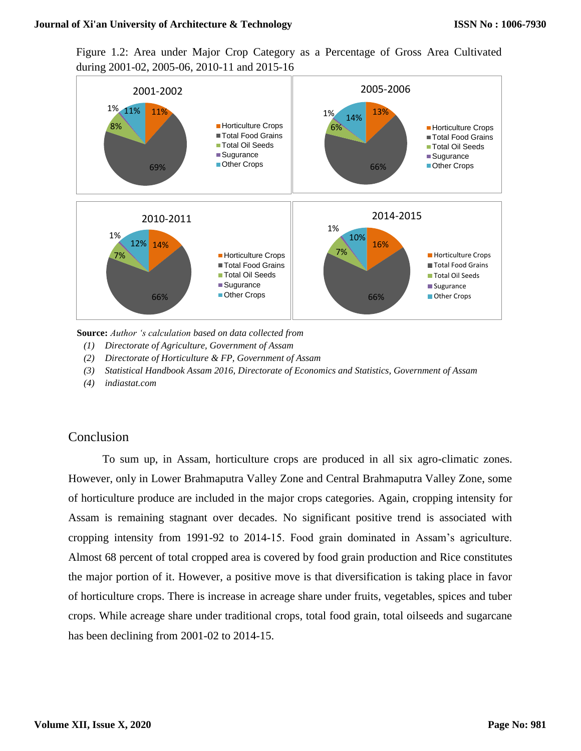#### **Journal of Xi'an University of Architecture & Technology**

Figure 1.2: Area under Major Crop Category as a Percentage of Gross Area Cultivated during 2001-02, 2005-06, 2010-11 and 2015-16



**Source:** *Author 's calculation based on data collected from*

- *(1) Directorate of Agriculture, Government of Assam*
- *(2) Directorate of Horticulture & FP, Government of Assam*
- *(3) Statistical Handbook Assam 2016, Directorate of Economics and Statistics, Government of Assam*
- *(4) indiastat.com*

### Conclusion

To sum up, in Assam, horticulture crops are produced in all six agro-climatic zones. However, only in Lower Brahmaputra Valley Zone and Central Brahmaputra Valley Zone, some of horticulture produce are included in the major crops categories. Again, cropping intensity for Assam is remaining stagnant over decades. No significant positive trend is associated with cropping intensity from 1991-92 to 2014-15. Food grain dominated in Assam's agriculture. Almost 68 percent of total cropped area is covered by food grain production and Rice constitutes the major portion of it. However, a positive move is that diversification is taking place in favor of horticulture crops. There is increase in acreage share under fruits, vegetables, spices and tuber crops. While acreage share under traditional crops, total food grain, total oilseeds and sugarcane has been declining from 2001-02 to 2014-15.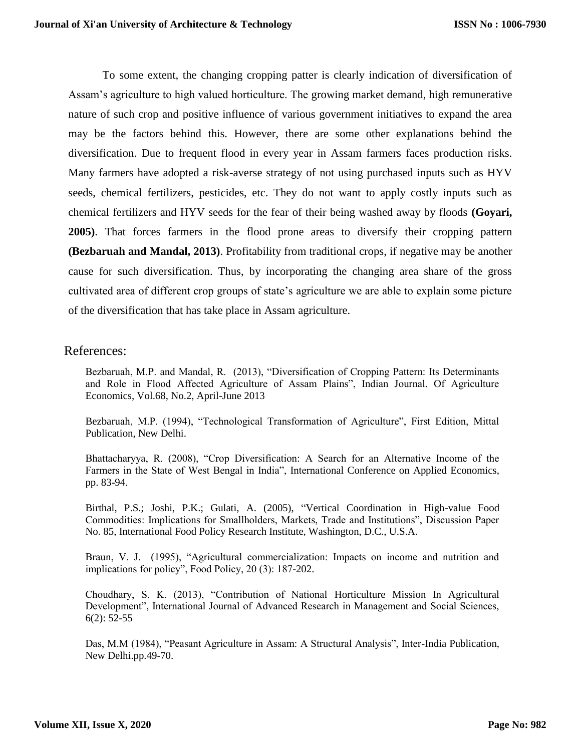To some extent, the changing cropping patter is clearly indication of diversification of Assam's agriculture to high valued horticulture. The growing market demand, high remunerative nature of such crop and positive influence of various government initiatives to expand the area may be the factors behind this. However, there are some other explanations behind the diversification. Due to frequent flood in every year in Assam farmers faces production risks. Many farmers have adopted a risk-averse strategy of not using purchased inputs such as HYV seeds, chemical fertilizers, pesticides, etc. They do not want to apply costly inputs such as chemical fertilizers and HYV seeds for the fear of their being washed away by floods **(Goyari, 2005)**. That forces farmers in the flood prone areas to diversify their cropping pattern **(Bezbaruah and Mandal, 2013)**. Profitability from traditional crops, if negative may be another cause for such diversification. Thus, by incorporating the changing area share of the gross cultivated area of different crop groups of state's agriculture we are able to explain some picture of the diversification that has take place in Assam agriculture.

### References:

Bezbaruah, M.P. and Mandal, R. (2013), "Diversification of Cropping Pattern: Its Determinants and Role in Flood Affected Agriculture of Assam Plains", Indian Journal. Of Agriculture Economics, Vol.68, No.2, April-June 2013

Bezbaruah, M.P. (1994), "Technological Transformation of Agriculture", First Edition, Mittal Publication, New Delhi.

Bhattacharyya, R. (2008), "Crop Diversification: A Search for an Alternative Income of the Farmers in the State of West Bengal in India", International Conference on Applied Economics, pp. 83-94.

Birthal, P.S.; Joshi, P.K.; Gulati, A. (2005), "Vertical Coordination in High-value Food Commodities: Implications for Smallholders, Markets, Trade and Institutions", Discussion Paper No. 85, International Food Policy Research Institute, Washington, D.C., U.S.A.

Braun, V. J. (1995), "Agricultural commercialization: Impacts on income and nutrition and implications for policy", Food Policy, 20 (3): 187-202.

Choudhary, S. K. (2013), "Contribution of National Horticulture Mission In Agricultural Development", International Journal of Advanced Research in Management and Social Sciences, 6(2): 52-55

Das, M.M (1984), "Peasant Agriculture in Assam: A Structural Analysis", Inter-India Publication, New Delhi.pp.49-70.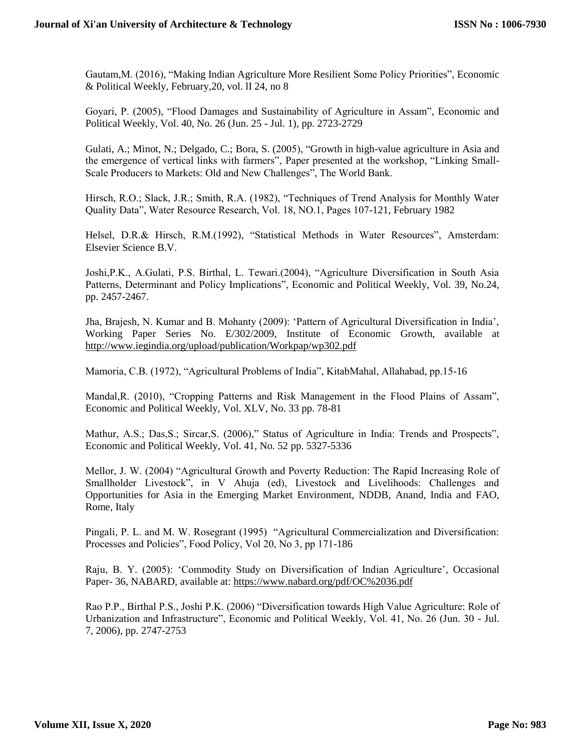Gautam,M. (2016), "Making Indian Agriculture More Resilient Some Policy Priorities", Economic & Political Weekly, February, 20, vol. II 24, no 8

Goyari, P. (2005), "Flood Damages and Sustainability of Agriculture in Assam", Economic and Political Weekly, Vol. 40, No. 26 (Jun. 25 - Jul. 1), pp. 2723-2729

Gulati, A.; Minot, N.; Delgado, C.; Bora, S. (2005), "Growth in high-value agriculture in Asia and the emergence of vertical links with farmers", Paper presented at the workshop, "Linking Small-Scale Producers to Markets: Old and New Challenges", The World Bank.

Hirsch, R.O.; Slack, J.R.; Smith, R.A. (1982), "Techniques of Trend Analysis for Monthly Water Quality Data", Water Resource Research, Vol. 18, NO.1, Pages 107-121, February 1982

Helsel, D.R.& Hirsch, R.M.(1992), "Statistical Methods in Water Resources", Amsterdam: Elsevier Science B.V.

Joshi,P.K., A.Gulati, P.S. Birthal, L. Tewari.(2004), "Agriculture Diversification in South Asia Patterns, Determinant and Policy Implications", Economic and Political Weekly, Vol. 39, No.24, pp. 2457-2467.

Jha, Brajesh, N. Kumar and B. Mohanty (2009): 'Pattern of Agricultural Diversification in India', Working Paper Series No. E/302/2009, Institute of Economic Growth, available at <http://www.iegindia.org/upload/publication/Workpap/wp302.pdf>

Mamoria, C.B. (1972), "Agricultural Problems of India", KitabMahal, Allahabad, pp.15-16

Mandal,R. (2010), "Cropping Patterns and Risk Management in the Flood Plains of Assam", Economic and Political Weekly, Vol. XLV, No. 33 pp. 78-81

Mathur, A.S.; Das,S.; Sircar,S. (2006)," Status of Agriculture in India: Trends and Prospects", Economic and Political Weekly, Vol. 41, No. 52 pp. 5327-5336

Mellor, J. W. (2004) "Agricultural Growth and Poverty Reduction: The Rapid Increasing Role of Smallholder Livestock", in V Ahuja (ed), Livestock and Livelihoods: Challenges and Opportunities for Asia in the Emerging Market Environment, NDDB, Anand, India and FAO, Rome, Italy

Pingali, P. L. and M. W. Rosegrant (1995) "Agricultural Commercialization and Diversification: Processes and Policies", Food Policy, Vol 20, No 3, pp 171-186

Raju, B. Y. (2005): 'Commodity Study on Diversification of Indian Agriculture', Occasional Paper- 36, NABARD, available at:<https://www.nabard.org/pdf/OC%2036.pdf>

Rao P.P., Birthal P.S., Joshi P.K. (2006) "Diversification towards High Value Agriculture: Role of Urbanization and Infrastructure", Economic and Political Weekly, Vol. 41, No. 26 (Jun. 30 - Jul. 7, 2006), pp. 2747-2753